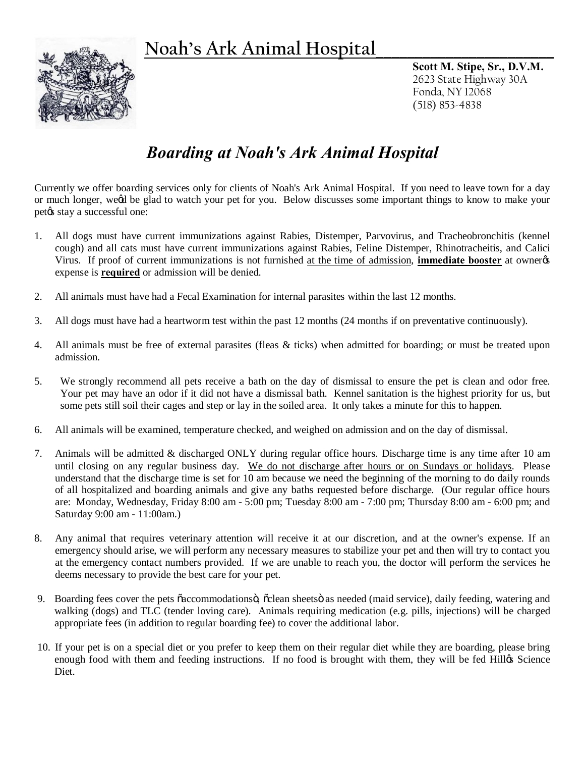## **Noah's Ark Animal Hospital\_\_\_\_\_\_\_\_\_\_\_\_\_\_\_\_\_\_\_\_\_\_\_**



**Scott M. Stipe, Sr., D.V.M.** 2623 State Highway 30A Fonda, NY 12068 (518) 853-4838

## *Boarding at Noah's Ark Animal Hospital*

Currently we offer boarding services only for clients of Noah's Ark Animal Hospital. If you need to leave town for a day or much longer, we'd be glad to watch your pet for you. Below discusses some important things to know to make your pet $\alpha$  stay a successful one:

- 1. All dogs must have current immunizations against Rabies, Distemper, Parvovirus, and Tracheobronchitis (kennel cough) and all cats must have current immunizations against Rabies, Feline Distemper, Rhinotracheitis, and Calici Virus. If proof of current immunizations is not furnished at the time of admission, **immediate booster** at owner's expense is **required** or admission will be denied.
- 2. All animals must have had a Fecal Examination for internal parasites within the last 12 months.
- 3. All dogs must have had a heartworm test within the past 12 months (24 months if on preventative continuously).
- 4. All animals must be free of external parasites (fleas & ticks) when admitted for boarding; or must be treated upon admission.
- 5. We strongly recommend all pets receive a bath on the day of dismissal to ensure the pet is clean and odor free. Your pet may have an odor if it did not have a dismissal bath. Kennel sanitation is the highest priority for us, but some pets still soil their cages and step or lay in the soiled area. It only takes a minute for this to happen.
- 6. All animals will be examined, temperature checked, and weighed on admission and on the day of dismissal.
- 7. Animals will be admitted & discharged ONLY during regular office hours. Discharge time is any time after 10 am until closing on any regular business day. We do not discharge after hours or on Sundays or holidays. Please understand that the discharge time is set for 10 am because we need the beginning of the morning to do daily rounds of all hospitalized and boarding animals and give any baths requested before discharge. (Our regular office hours are: Monday, Wednesday, Friday 8:00 am - 5:00 pm; Tuesday 8:00 am - 7:00 pm; Thursday 8:00 am - 6:00 pm; and Saturday 9:00 am - 11:00am.)
- 8. Any animal that requires veterinary attention will receive it at our discretion, and at the owner's expense. If an emergency should arise, we will perform any necessary measures to stabilize your pet and then will try to contact you at the emergency contact numbers provided. If we are unable to reach you, the doctor will perform the services he deems necessary to provide the best care for your pet.
- 9. Boarding fees cover the pets õaccommodationsö, õclean sheetsö as needed (maid service), daily feeding, watering and walking (dogs) and TLC (tender loving care). Animals requiring medication (e.g. pills, injections) will be charged appropriate fees (in addition to regular boarding fee) to cover the additional labor.
- 10. If your pet is on a special diet or you prefer to keep them on their regular diet while they are boarding, please bring enough food with them and feeding instructions. If no food is brought with them, they will be fed Hillgs Science Diet.